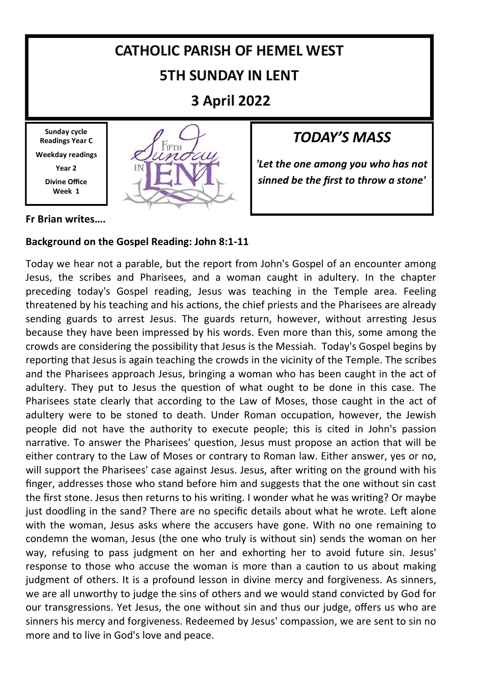# **CATHOLIC PARISH OF HEMEL WEST 5TH SUNDAY IN LENT**

**3 April 2022**

**Sunday cycle Readings Year C Weekday readings Year 2 Divine Office Week 1**



### *TODAY'S MASS*

*'Let the one among you who has not sinned be the first to throw a stone'*

**Fr Brian writes….**

### **Background on the Gospel Reading: John 8:1-11**

Today we hear not a parable, but the report from John's Gospel of an encounter among Jesus, the scribes and Pharisees, and a woman caught in adultery. In the chapter preceding today's Gospel reading, Jesus was teaching in the Temple area. Feeling threatened by his teaching and his actions, the chief priests and the Pharisees are already sending guards to arrest Jesus. The guards return, however, without arresting Jesus because they have been impressed by his words. Even more than this, some among the crowds are considering the possibility that Jesus is the Messiah. Today's Gospel begins by reporting that Jesus is again teaching the crowds in the vicinity of the Temple. The scribes and the Pharisees approach Jesus, bringing a woman who has been caught in the act of adultery. They put to Jesus the question of what ought to be done in this case. The Pharisees state clearly that according to the Law of Moses, those caught in the act of adultery were to be stoned to death. Under Roman occupation, however, the Jewish people did not have the authority to execute people; this is cited in John's passion narrative. To answer the Pharisees' question, Jesus must propose an action that will be either contrary to the Law of Moses or contrary to Roman law. Either answer, yes or no, will support the Pharisees' case against Jesus. Jesus, after writing on the ground with his finger, addresses those who stand before him and suggests that the one without sin cast the first stone. Jesus then returns to his writing. I wonder what he was writing? Or maybe just doodling in the sand? There are no specific details about what he wrote. Left alone with the woman, Jesus asks where the accusers have gone. With no one remaining to condemn the woman, Jesus (the one who truly is without sin) sends the woman on her way, refusing to pass judgment on her and exhorting her to avoid future sin. Jesus' response to those who accuse the woman is more than a caution to us about making judgment of others. It is a profound lesson in divine mercy and forgiveness. As sinners, we are all unworthy to judge the sins of others and we would stand convicted by God for our transgressions. Yet Jesus, the one without sin and thus our judge, offers us who are sinners his mercy and forgiveness. Redeemed by Jesus' compassion, we are sent to sin no more and to live in God's love and peace.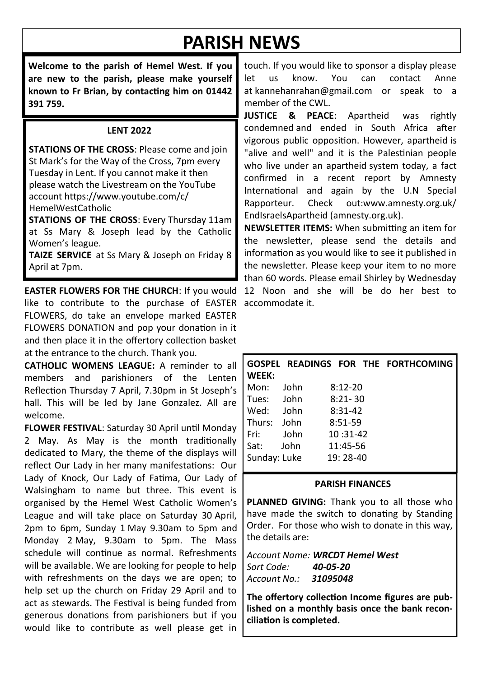# **PARISH NEWS**

**Welcome to the parish of Hemel West. If you are new to the parish, please make yourself known to Fr Brian, by contacting him on 01442 391 759.**

#### **LENT 2022**

**STATIONS OF THE CROSS**: Please come and join St Mark's for the Way of the Cross, 7pm every Tuesday in Lent. If you cannot make it then please watch the Livestream on the YouTube account https://www.youtube.com/c/ HemelWestCatholic

**STATIONS OF THE CROSS**: Every Thursday 11am at Ss Mary & Joseph lead by the Catholic Women's league.

**TAIZE SERVICE** at Ss Mary & Joseph on Friday 8 April at 7pm.

**EASTER FLOWERS FOR THE CHURCH**: If you would like to contribute to the purchase of EASTER accommodate it. FLOWERS, do take an envelope marked EASTER FLOWERS DONATION and pop your donation in it and then place it in the offertory collection basket at the entrance to the church. Thank you.

**CATHOLIC WOMENS LEAGUE:** A reminder to all members and parishioners of the Lenten Reflection Thursday 7 April, 7.30pm in St Joseph's hall. This will be led by Jane Gonzalez. All are welcome.

**FLOWER FESTIVAL**: Saturday 30 April until Monday 2 May. As May is the month traditionally dedicated to Mary, the theme of the displays will reflect Our Lady in her many manifestations: Our Lady of Knock, Our Lady of Fatima, Our Lady of Walsingham to name but three. This event is organised by the Hemel West Catholic Women's League and will take place on Saturday 30 April, 2pm to 6pm, Sunday 1 May 9.30am to 5pm and Monday 2 May, 9.30am to 5pm. The Mass schedule will continue as normal. Refreshments will be available. We are looking for people to help with refreshments on the days we are open; to help set up the church on Friday 29 April and to act as stewards. The Festival is being funded from generous donations from parishioners but if you would like to contribute as well please get in

touch. If you would like to sponsor a display please let us know. You can contact Anne at kannehanrahan@gmail.com or speak to a member of the CWL.

**JUSTICE & PEACE**: Apartheid was rightly condemned and ended in South Africa after vigorous public opposition. However, apartheid is "alive and well" and it is the Palestinian people who live under an apartheid system today, a fact confirmed in a recent report by Amnesty International and again by the U.N Special Rapporteur. Check out:www.amnesty.org.uk/ EndIsraelsApartheid (amnesty.org.uk).

**NEWSLETTER ITEMS:** When submitting an item for the newsletter, please send the details and information as you would like to see it published in the newsletter. Please keep your item to no more than 60 words. Please email Shirley by Wednesday 12 Noon and she will be do her best to

| WEEK:        |             |             | GOSPEL READINGS FOR THE FORTHCOMING |
|--------------|-------------|-------------|-------------------------------------|
| Mon:         | <b>John</b> | $8:12 - 20$ |                                     |
| Tues:        | John        | $8:21 - 30$ |                                     |
| Wed:         | Iohn        | $8:31-42$   |                                     |
| Thurs:       | lohn        | $8:51-59$   |                                     |
| Fri:         | lohn        | $10:31-42$  |                                     |
| Sat:         | John        | 11:45-56    |                                     |
| Sunday: Luke |             | 19: 28-40   |                                     |

#### **PARISH FINANCES**

PLANNED GIVING: Thank you to all those who have made the switch to donating by Standing Order. For those who wish to donate in this way, the details are:

*Account Name: WRCDT Hemel West Sort Code: 40-05-20 Account No.: 31095048*

**The offertory collection Income figures are published on a monthly basis once the bank reconciliation is completed.**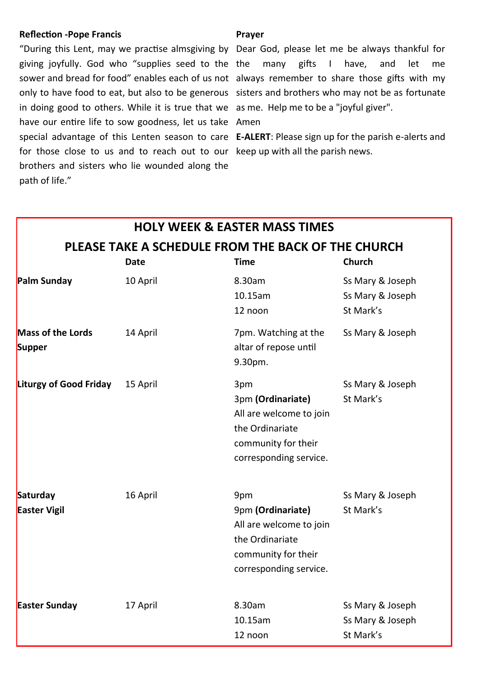#### **Reflection -Pope Francis**

giving joyfully. God who "supplies seed to the the many gifts I have, and let me sower and bread for food" enables each of us not always remember to share those gifts with my only to have food to eat, but also to be generous sisters and brothers who may not be as fortunate in doing good to others. While it is true that we as me. Help me to be a "joyful giver". have our entire life to sow goodness, let us take Amen special advantage of this Lenten season to care **E-ALERT**: Please sign up for the parish e-alerts and for those close to us and to reach out to our keep up with all the parish news. brothers and sisters who lie wounded along the path of life."

#### **Prayer**

"During this Lent, may we practise almsgiving by Dear God, please let me be always thankful for

|                                                    |          | <b>HOLY WEEK &amp; EASTER MASS TIMES</b>                                                                                |                                                   |  |  |  |
|----------------------------------------------------|----------|-------------------------------------------------------------------------------------------------------------------------|---------------------------------------------------|--|--|--|
| PLEASE TAKE A SCHEDULE FROM THE BACK OF THE CHURCH |          |                                                                                                                         |                                                   |  |  |  |
|                                                    | Date     | <b>Time</b>                                                                                                             | Church                                            |  |  |  |
| Palm Sunday                                        | 10 April | 8.30am<br>10.15am<br>12 noon                                                                                            | Ss Mary & Joseph<br>Ss Mary & Joseph<br>St Mark's |  |  |  |
| <b>Mass of the Lords</b><br>Supper                 | 14 April | 7pm. Watching at the<br>altar of repose until<br>9.30pm.                                                                | Ss Mary & Joseph                                  |  |  |  |
| <b>Liturgy of Good Friday</b>                      | 15 April | 3pm<br>3pm (Ordinariate)<br>All are welcome to join<br>the Ordinariate<br>community for their<br>corresponding service. | Ss Mary & Joseph<br>St Mark's                     |  |  |  |
| Saturday<br><b>Easter Vigil</b>                    | 16 April | 9pm<br>9pm (Ordinariate)<br>All are welcome to join<br>the Ordinariate<br>community for their<br>corresponding service. | Ss Mary & Joseph<br>St Mark's                     |  |  |  |
| <b>Easter Sunday</b>                               | 17 April | 8.30am<br>10.15am<br>12 noon                                                                                            | Ss Mary & Joseph<br>Ss Mary & Joseph<br>St Mark's |  |  |  |